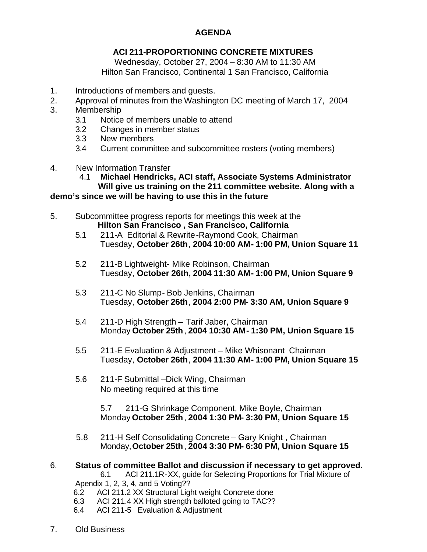## **AGENDA**

## **ACI 211-PROPORTIONING CONCRETE MIXTURES**

Wednesday, October 27, 2004 – 8:30 AM to 11:30 AM Hilton San Francisco, Continental 1 San Francisco, California

- 1. Introductions of members and guests.
- 2. Approval of minutes from the Washington DC meeting of March 17, 2004
- 3. Membership
	- 3.1 Notice of members unable to attend
	- 3.2 Changes in member status
	- 3.3 New members
	- 3.4 Current committee and subcommittee rosters (voting members)
- 4. New Information Transfer
	- 4.1 **Michael Hendricks, ACI staff, Associate Systems Administrator Will give us training on the 211 committee website. Along with a**

## **demo's since we will be having to use this in the future**

- 5. Subcommittee progress reports for meetings this week at the  **Hilton San Francisco , San Francisco, California**
	- 5.1 211-A Editorial & Rewrite-Raymond Cook, Chairman Tuesday, **October 26th**, **2004 10:00 AM- 1:00 PM, Union Square 11**
	- 5.2 211-B Lightweight- Mike Robinson, Chairman Tuesday, **October 26th, 2004 11:30 AM- 1:00 PM, Union Square 9**
	- 5.3 211-C No Slump- Bob Jenkins, Chairman Tuesday, **October 26th**, **2004 2:00 PM- 3:30 AM, Union Square 9**
	- 5.4 211-D High Strength Tarif Jaber, Chairman Monday **October 25th**, **2004 10:30 AM- 1:30 PM, Union Square 15**
	- 5.5 211-E Evaluation & Adjustment Mike Whisonant Chairman Tuesday, **October 26th**, **2004 11:30 AM- 1:00 PM, Union Square 15**
	- 5.6 211-F Submittal –Dick Wing, Chairman No meeting required at this time

 5.7 211-G Shrinkage Component, Mike Boyle, Chairman Monday **October 25th**, **2004 1:30 PM- 3:30 PM, Union Square 15**

- 5.8 211-H Self Consolidating Concrete Gary Knight , Chairman Monday,**October 25th**, **2004 3:30 PM- 6:30 PM, Union Square 15**
- 6. **Status of committee Ballot and discussion if necessary to get approved.**

6.1 ACI 211.1R-XX, guide for Selecting Proportions for Trial Mixture of Apendix 1, 2, 3, 4, and 5 Voting??

- 6.2 ACI 211.2 XX Structural Light weight Concrete done
- 6.3 ACI 211.4 XX High strength balloted going to TAC??
- 6.4 ACI 211-5 Evaluation & Adjustment
- 7. Old Business